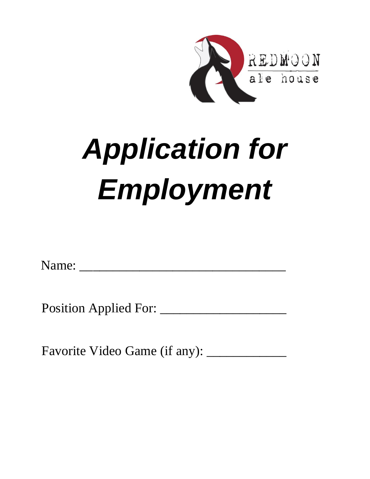

# *Application for Employment*

Name: \_\_\_\_\_\_\_\_\_\_\_\_\_\_\_\_\_\_\_\_\_\_\_\_\_\_\_\_\_\_\_

Position Applied For: \_\_\_\_\_\_\_\_\_\_\_\_\_\_\_\_\_\_\_

Favorite Video Game (if any): \_\_\_\_\_\_\_\_\_\_\_\_\_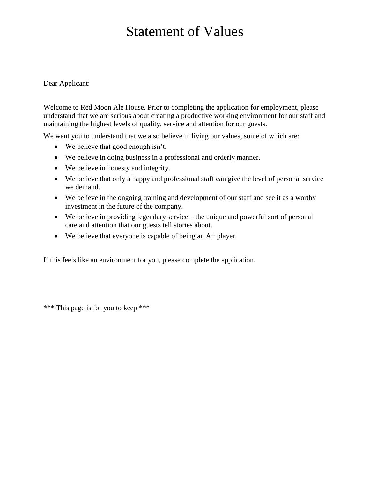# Statement of Values

Dear Applicant:

Welcome to Red Moon Ale House. Prior to completing the application for employment, please understand that we are serious about creating a productive working environment for our staff and maintaining the highest levels of quality, service and attention for our guests.

We want you to understand that we also believe in living our values, some of which are:

- We believe that good enough isn't.
- We believe in doing business in a professional and orderly manner.
- We believe in honesty and integrity.
- We believe that only a happy and professional staff can give the level of personal service we demand.
- We believe in the ongoing training and development of our staff and see it as a worthy investment in the future of the company.
- We believe in providing legendary service the unique and powerful sort of personal care and attention that our guests tell stories about.
- We believe that everyone is capable of being an A+ player.

If this feels like an environment for you, please complete the application.

\*\*\* This page is for you to keep \*\*\*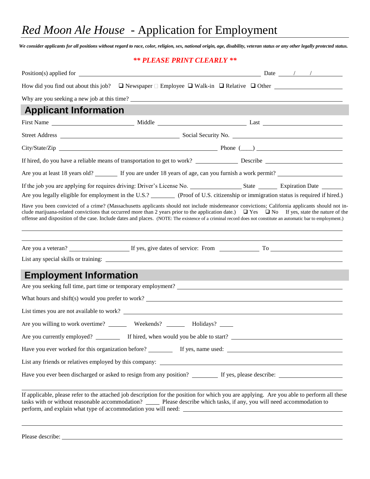## *Red Moon Ale House* - Application for Employment

*We consider applicants for all positions without regard to race, color, religion, sex, national origin, age, disability, veteran status or any other legally protected status.*

#### *\*\* PLEASE PRINT CLEARLY \*\**

|                               | How did you find out about this job? $\Box$ Newspaper $\Box$ Employee $\Box$ Walk-in $\Box$ Relative $\Box$ Other                                                                                                                                                                                                                                                                                                                                                           |  |  |  |  |
|-------------------------------|-----------------------------------------------------------------------------------------------------------------------------------------------------------------------------------------------------------------------------------------------------------------------------------------------------------------------------------------------------------------------------------------------------------------------------------------------------------------------------|--|--|--|--|
|                               | Why are you seeking a new job at this time?                                                                                                                                                                                                                                                                                                                                                                                                                                 |  |  |  |  |
| <b>Applicant Information</b>  |                                                                                                                                                                                                                                                                                                                                                                                                                                                                             |  |  |  |  |
|                               |                                                                                                                                                                                                                                                                                                                                                                                                                                                                             |  |  |  |  |
|                               |                                                                                                                                                                                                                                                                                                                                                                                                                                                                             |  |  |  |  |
|                               |                                                                                                                                                                                                                                                                                                                                                                                                                                                                             |  |  |  |  |
|                               |                                                                                                                                                                                                                                                                                                                                                                                                                                                                             |  |  |  |  |
|                               | Are you at least 18 years old? If you are under 18 years of age, can you furnish a work permit?                                                                                                                                                                                                                                                                                                                                                                             |  |  |  |  |
|                               |                                                                                                                                                                                                                                                                                                                                                                                                                                                                             |  |  |  |  |
|                               | Are you legally eligible for employment in the U.S.? (Proof of U.S. citizenship or immigration status is required if hired.)                                                                                                                                                                                                                                                                                                                                                |  |  |  |  |
|                               | Have you been convicted of a crime? (Massachusetts applicants should not include misdemeanor convictions; California applicants should not in-<br>clude marijuana-related convictions that occurred more than 2 years prior to the application date.) $\Box$ Yes $\Box$ No If yes, state the nature of the<br>offense and disposition of the case. Include dates and places. (NOTE: The existence of a criminal record does not constitute an automatic bar to employment.) |  |  |  |  |
|                               |                                                                                                                                                                                                                                                                                                                                                                                                                                                                             |  |  |  |  |
|                               |                                                                                                                                                                                                                                                                                                                                                                                                                                                                             |  |  |  |  |
| <b>Employment Information</b> |                                                                                                                                                                                                                                                                                                                                                                                                                                                                             |  |  |  |  |
|                               | Are you seeking full time, part time or temporary employment?                                                                                                                                                                                                                                                                                                                                                                                                               |  |  |  |  |
|                               | What hours and shift(s) would you prefer to work?                                                                                                                                                                                                                                                                                                                                                                                                                           |  |  |  |  |
|                               |                                                                                                                                                                                                                                                                                                                                                                                                                                                                             |  |  |  |  |
|                               | Are you willing to work overtime? _________ Weekends? _________ Holidays? ______                                                                                                                                                                                                                                                                                                                                                                                            |  |  |  |  |
|                               |                                                                                                                                                                                                                                                                                                                                                                                                                                                                             |  |  |  |  |
|                               |                                                                                                                                                                                                                                                                                                                                                                                                                                                                             |  |  |  |  |
|                               |                                                                                                                                                                                                                                                                                                                                                                                                                                                                             |  |  |  |  |
|                               |                                                                                                                                                                                                                                                                                                                                                                                                                                                                             |  |  |  |  |
|                               | If applicable, please refer to the attached job description for the position for which you are applying. Are you able to perform all these<br>tasks with or without reasonable accommodation? _____ Please describe which tasks, if any, you will need accommodation to<br>perform, and explain what type of accommodation you will need:                                                                                                                                   |  |  |  |  |

Please describe: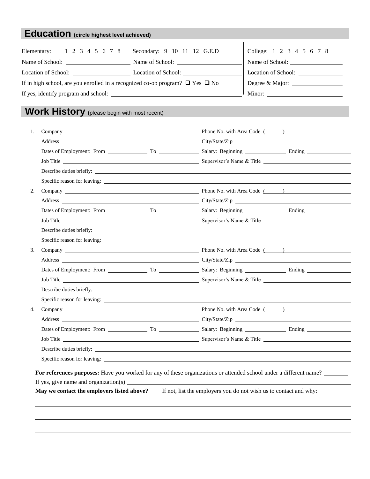## **Education (circle highest level achieved)**

| Elementary: 1 2 3 4 5 6 7 8                                                             | Secondary: 9 10 11 12 G.E.D | College: 1 2 3 4 5 6 7 8 |
|-----------------------------------------------------------------------------------------|-----------------------------|--------------------------|
| Name of School:                                                                         | Name of School:             | Name of School:          |
|                                                                                         | Location of School:         | Location of School:      |
| If in high school, are you enrolled in a recognized co-op program? $\Box$ Yes $\Box$ No | Degree & Major: ___________ |                          |
|                                                                                         | Minor:                      |                          |

## **Work History (**please begin with most recent)

| 1. |                                                                                                                           |                                                                                   |  |
|----|---------------------------------------------------------------------------------------------------------------------------|-----------------------------------------------------------------------------------|--|
|    |                                                                                                                           | Address City/State/Zip Communication City/State/Zip City/State/Zip City/State/Zip |  |
|    |                                                                                                                           |                                                                                   |  |
|    |                                                                                                                           |                                                                                   |  |
|    |                                                                                                                           |                                                                                   |  |
|    |                                                                                                                           |                                                                                   |  |
| 2. |                                                                                                                           |                                                                                   |  |
|    |                                                                                                                           |                                                                                   |  |
|    |                                                                                                                           | Dates of Employment: From To To Salary: Beginning Ending Ending                   |  |
|    |                                                                                                                           |                                                                                   |  |
|    |                                                                                                                           |                                                                                   |  |
|    |                                                                                                                           |                                                                                   |  |
| 3. |                                                                                                                           |                                                                                   |  |
|    |                                                                                                                           |                                                                                   |  |
|    |                                                                                                                           |                                                                                   |  |
|    |                                                                                                                           |                                                                                   |  |
|    |                                                                                                                           |                                                                                   |  |
|    |                                                                                                                           |                                                                                   |  |
| 4. |                                                                                                                           |                                                                                   |  |
|    |                                                                                                                           |                                                                                   |  |
|    |                                                                                                                           |                                                                                   |  |
|    |                                                                                                                           |                                                                                   |  |
|    |                                                                                                                           |                                                                                   |  |
|    |                                                                                                                           |                                                                                   |  |
|    | <b>For references purposes:</b> Have you worked for any of these organizations or attended school under a different name? |                                                                                   |  |
|    |                                                                                                                           |                                                                                   |  |
|    | May we contact the employers listed above? If not, list the employers you do not wish us to contact and why:              |                                                                                   |  |